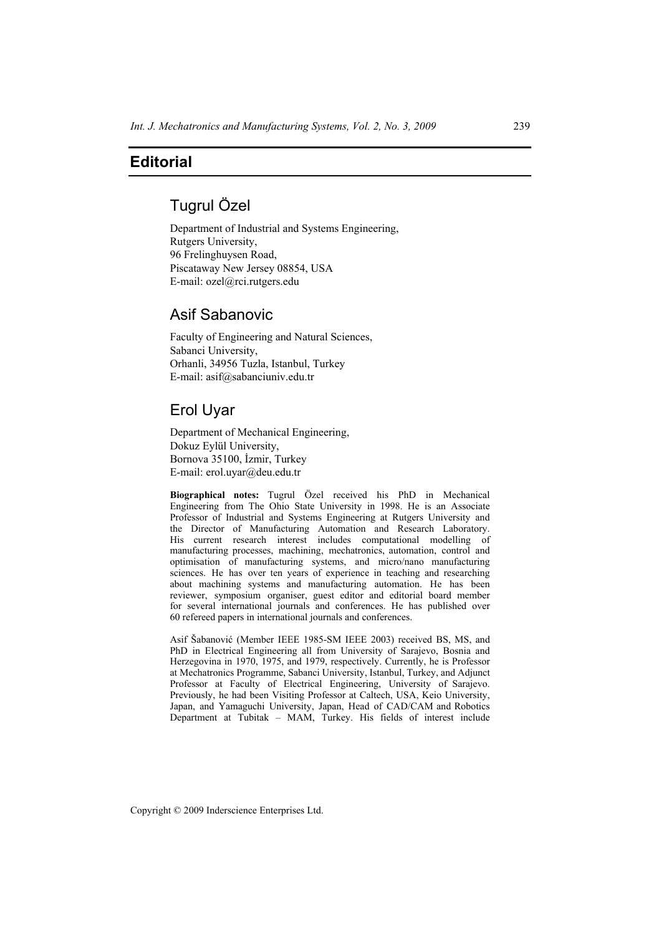### **Editorial**

# Tugrul Özel

Department of Industrial and Systems Engineering, Rutgers University, 96 Frelinghuysen Road, Piscataway New Jersey 08854, USA E-mail: ozel@rci.rutgers.edu

## Asif Sabanovic

Faculty of Engineering and Natural Sciences, Sabanci University, Orhanli, 34956 Tuzla, Istanbul, Turkey E-mail: asif@sabanciuniv.edu.tr

### Erol Uyar

Department of Mechanical Engineering, Dokuz Eylül University, Bornova 35100, İzmir, Turkey E-mail: erol.uyar@deu.edu.tr

**Biographical notes:** Tugrul Özel received his PhD in Mechanical Engineering from The Ohio State University in 1998. He is an Associate Professor of Industrial and Systems Engineering at Rutgers University and the Director of Manufacturing Automation and Research Laboratory. His current research interest includes computational modelling of manufacturing processes, machining, mechatronics, automation, control and optimisation of manufacturing systems, and micro/nano manufacturing sciences. He has over ten years of experience in teaching and researching about machining systems and manufacturing automation. He has been reviewer, symposium organiser, guest editor and editorial board member for several international journals and conferences. He has published over 60 refereed papers in international journals and conferences.

Asif Šabanović (Member IEEE 1985-SM IEEE 2003) received BS, MS, and PhD in Electrical Engineering all from University of Sarajevo, Bosnia and Herzegovina in 1970, 1975, and 1979, respectively. Currently, he is Professor at Mechatronics Programme, Sabanci University, Istanbul, Turkey, and Adjunct Professor at Faculty of Electrical Engineering, University of Sarajevo. Previously, he had been Visiting Professor at Caltech, USA, Keio University, Japan, and Yamaguchi University, Japan, Head of CAD/CAM and Robotics Department at Tubitak – MAM, Turkey. His fields of interest include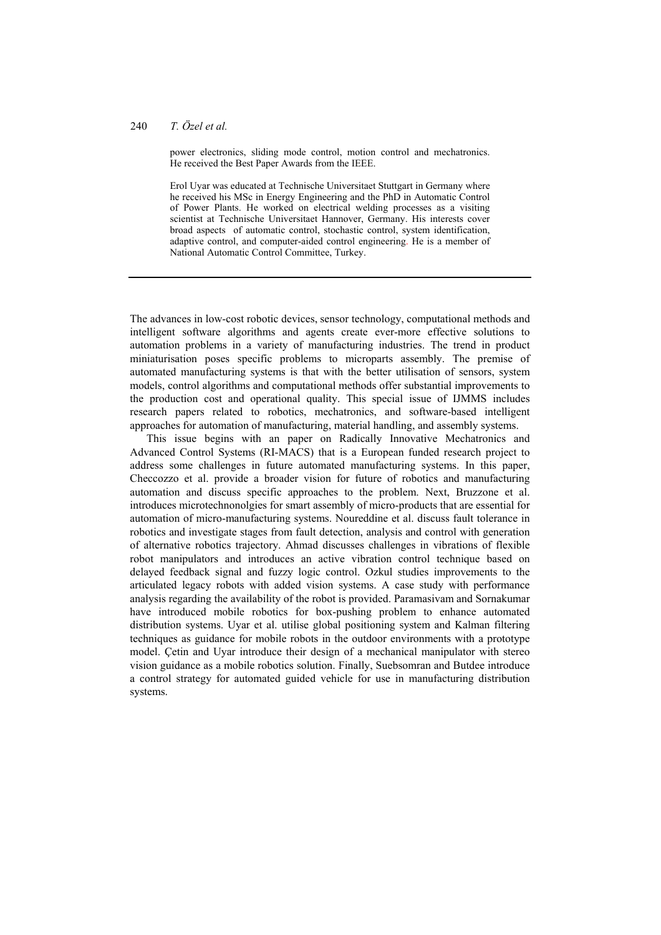#### 240 *T. Özel et al.*

power electronics, sliding mode control, motion control and mechatronics. He received the Best Paper Awards from the IEEE.

Erol Uyar was educated at Technische Universitaet Stuttgart in Germany where he received his MSc in Energy Engineering and the PhD in Automatic Control of Power Plants. He worked on electrical welding processes as a visiting scientist at Technische Universitaet Hannover, Germany. His interests cover broad aspects of automatic control, stochastic control, system identification, adaptive control, and computer-aided control engineering. He is a member of National Automatic Control Committee, Turkey.

The advances in low-cost robotic devices, sensor technology, computational methods and intelligent software algorithms and agents create ever-more effective solutions to automation problems in a variety of manufacturing industries. The trend in product miniaturisation poses specific problems to microparts assembly. The premise of automated manufacturing systems is that with the better utilisation of sensors, system models, control algorithms and computational methods offer substantial improvements to the production cost and operational quality. This special issue of IJMMS includes research papers related to robotics, mechatronics, and software-based intelligent approaches for automation of manufacturing, material handling, and assembly systems.

This issue begins with an paper on Radically Innovative Mechatronics and Advanced Control Systems (RI-MACS) that is a European funded research project to address some challenges in future automated manufacturing systems. In this paper, Checcozzo et al. provide a broader vision for future of robotics and manufacturing automation and discuss specific approaches to the problem. Next, Bruzzone et al. introduces microtechnonolgies for smart assembly of micro-products that are essential for automation of micro-manufacturing systems. Noureddine et al. discuss fault tolerance in robotics and investigate stages from fault detection, analysis and control with generation of alternative robotics trajectory. Ahmad discusses challenges in vibrations of flexible robot manipulators and introduces an active vibration control technique based on delayed feedback signal and fuzzy logic control. Ozkul studies improvements to the articulated legacy robots with added vision systems. A case study with performance analysis regarding the availability of the robot is provided. Paramasivam and Sornakumar have introduced mobile robotics for box-pushing problem to enhance automated distribution systems. Uyar et al. utilise global positioning system and Kalman filtering techniques as guidance for mobile robots in the outdoor environments with a prototype model. Çetin and Uyar introduce their design of a mechanical manipulator with stereo vision guidance as a mobile robotics solution. Finally, Suebsomran and Butdee introduce a control strategy for automated guided vehicle for use in manufacturing distribution systems.